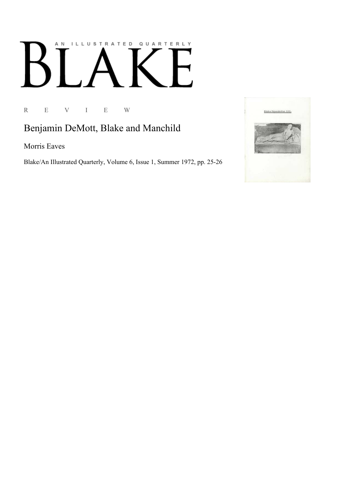## AN ILLUSTRATED QUARTERLY  $\lceil$ Ӄ  $\blacksquare$

## R E V I E W

## Benjamin DeMott, Blake and Manchild

Morris Eaves

Blake/An Illustrated Quarterly, Volume 6, Issue 1, Summer 1972, pp. 25-26

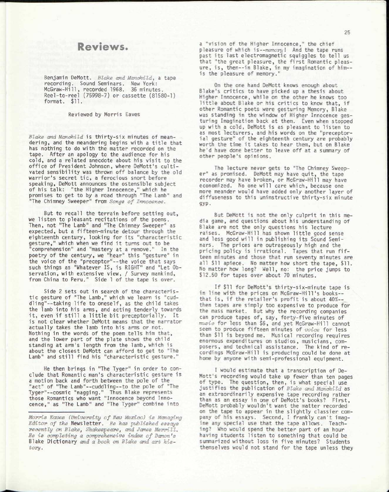## Reviews.

Benjamin DeMott. *Blake and Manchild,* a tape recording. Sound Seminars. New York: McGraw-Hill, recorded 1968. 36 minutes. Reel-to-reel (75998-7) or cassette (81580-1) format. \$11.

Reviewed by Morris Eaves

*Blake and Manchild* is thirty-six minutes of meandering, and the meandering begins with a title that has nothing to do with the matter recorded on the tape. After an apology to the audience for his cold, and a related anecdote about his visit to the office of President Johnson, where DeMott's cultivated sensibility was thrown off balance by the old warrior's secret tic, a ferocious snort before speaking, DeMott announces the ostensible subject of his talk: "the Higher Innocence," which he promises to get to by a road through "The Lamb" and "The Chimney Sweeper" from *Songs of Innocence.* 

But to recall the terrain before setting out, we listen to pleasant recitations of the poems. Then, not "The Lamb" and "The Chimney Sweeper" as expected, but a fifteen-minute detour through the eighteenth century, looking for its "characteristic gesture," which when we find it turns out to be "comprehension" and "mastery at a remove." In the poetry of the century, we "hear" this "gesture" in the voice of the "preceptor"--the voice that says such things as "Whatever IS, is RIGHT" and "Let Observation, with extensive view, / Survey mankind, from China to Peru." Side 1 of the tape is over.

Side 2 sets out in search of the characteristic gesture of "The Lamb," which we learn is "cuddling"--taking life to oneself, as the child takes the lamb into his arms, and acting tenderly towards it, even if still a little bit preceptorially. It is not clear whether DeMott means that the narrator actually takes the lamb into his arms or not. Nothing in the words of the poem tells him that, and the lower part of the plate shows the child standing at arm's length from the lamb, which is about the closest DeMott can afford to get to "The Lamb" and still find his "characteristic gesture."

He then brings in "The Tyger" in order to conclude that Romantic man's characteristic gesture is a motion back and forth between the pole of the "act" of "The Lamb"—cuddling—to the pole of "The Tyger"—cosmic "nagging." Thus Blake represents those Romantics who want "Innocence beyond Innocence," as "The Lamb" and "The Tyger" combine into

a "vision of the Higher Innocence," the chief pleasure of which is—*memory* ! And the tape runs past its last electromagnetic squiggles to tell us that "the great pleasure, the first Romantic pleasure, is, then--in Blake, in my imagination of him-is the pleasure of memory."

On the one hand DeMott knows enough about Blake's critics to have picked up a thesis about Higher Innocence, while on the other he knows too little about Blake or his critics to know that, if other Romantic poets were gesturing Memory, Blake was standing in the window of Higher Innocence gesturing Imagination back at them. Even when stopped up with a cold, DeMott is as pleasant to listen to as most lecturers, and his words on the "preceptorial gesture" of the eighteenth century are probably worth the time it takes to hear them, but on Blake he'd have done better to leave off at a summary of other people's opinions.

The lecture never gets to "The Chimney Sweeper" as promised. DeMott may have quit, the tape recorder may have broken, or McGraw-Hill may have economized. No one will care which, because one more meander would have added only another layer of diffuseness to this uninstructive thirty-six minute gyp.

But DeMott is not the only culprit in this media game, and questions about his understanding of Blake are not the only questions his lecture raises. McGraw-Hill has shown little good sense and less good will in publishing its Sound Seminars. The prices are outrageously high and the pricing policy is irrational. Tapes that run fifteen minutes and those that run seventy minutes are all \$11 apiece. No matter how short the tape, \$11. No matter how long? Well, no: the price jumps to \$12.50 for tapes over about 70 minutes.

If \$11 for DeMott's thirty-six-minute tape is in line with the prices on McGraw-Hill's books that is, if the retailer's profit is about 40%-then tapes are simply too expensive to produce for the mass market. But why the recording companies can produce tapes of, say, forty-five minutes of *music* for less than \$6, and yet McGraw-Hill cannot seem to produce fifteen minutes of voice for less than \$11 is beyond me. Musical recording requires enormous expenditures on studios, musicians, composers, and technical assistance. The kind of recordings McGraw-Hill is producing could be done at home by anyone with semi-professional equipment.

I would estimate that a transcription of De-Mott's recording would take up fewer than ten pages of type. The question, then, is what special use justifies the publication of *Blake and Manchild* as an extraordinarily expensive tape recording rather than as an essay in one of DeMott's books? First , DeMott probably wouldn't want the matter recorded on the tape to appear in the slightly classier company of his essays. Second, I frankly can't imagine any special use that the tape allows. Teaching? Who would spend the better part of an hour having students listen to something that could be summarized without loss in five minutes? Students themselves would not stand for the tape unless they

*Morris Eaves (University of New Mexico) is Managing Editor of the* Newsletter. *He has published essays recently on Blake3 Shakespeare3 and James Merrill. He is completing a comprehensive index of Damon's*  Blake Dictionary *and a book on Blake and art history.*